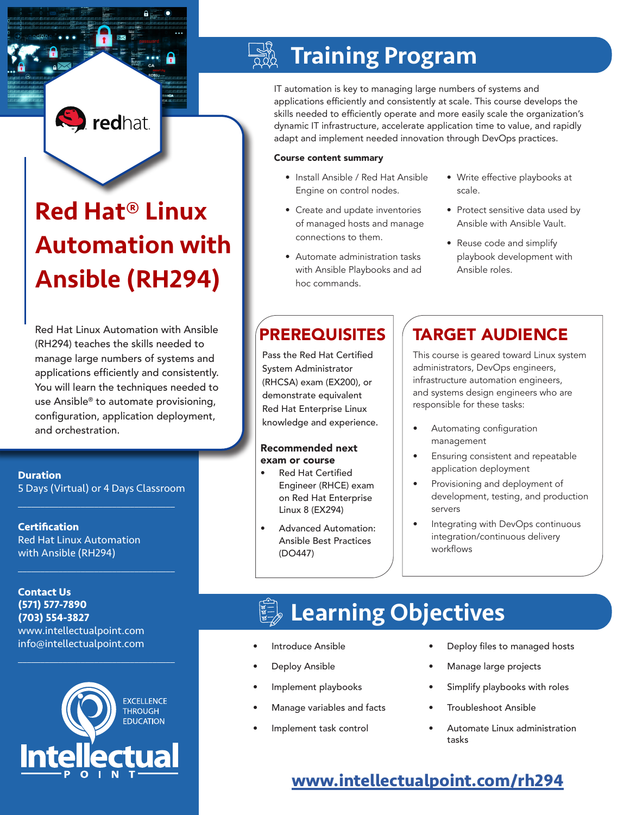## **S** redhat

# Red Hat® Linux Automation with Ansible (RH294)

Red Hat Linux Automation with Ansible (RH294) teaches the skills needed to manage large numbers of systems and applications efficiently and consistently. You will learn the techniques needed to use Ansible® to automate provisioning, configuration, application deployment, and orchestration.

**Duration** 5 Days (Virtual) or 4 Days Classroom

 $\mathcal{L}_\text{max}$  and  $\mathcal{L}_\text{max}$  and  $\mathcal{L}_\text{max}$  and  $\mathcal{L}_\text{max}$ 

 $\mathcal{L}_\text{max}$  and  $\mathcal{L}_\text{max}$  and  $\mathcal{L}_\text{max}$  and  $\mathcal{L}_\text{max}$ 

**Certification** Red Hat Linux Automation with Ansible (RH294)

**Contact Us (571) 577-7890 (703) 554-3827** www.intellectualpoint.com info@intellectualpoint.com



 $\mathcal{L}_\text{max}$  , and the set of the set of the set of the set of the set of the set of the set of the set of the set of the set of the set of the set of the set of the set of the set of the set of the set of the set of the

## Training Program

IT automation is key to managing large numbers of systems and applications efficiently and consistently at scale. This course develops the skills needed to efficiently operate and more easily scale the organization's dynamic IT infrastructure, accelerate application time to value, and rapidly adapt and implement needed innovation through DevOps practices.

#### Course content summary

- Install Ansible / Red Hat Ansible Engine on control nodes.
- Create and update inventories of managed hosts and manage connections to them.
- Automate administration tasks with Ansible Playbooks and ad hoc commands.
- Write effective playbooks at scale.
- Protect sensitive data used by Ansible with Ansible Vault.
- Reuse code and simplify playbook development with Ansible roles.

Pass the Red Hat Certified System Administrator (RHCSA) exam (EX200), or demonstrate equivalent Red Hat Enterprise Linux knowledge and experience.

#### Recommended next exam or course

- **Red Hat Certified** Engineer (RHCE) exam on Red Hat Enterprise Linux 8 (EX294)
- Advanced Automation: Ansible Best Practices (DO447)

## **PREREQUISITES | TARGET AUDIENCE**

This course is geared toward Linux system administrators, DevOps engineers, infrastructure automation engineers, and systems design engineers who are responsible for these tasks:

- Automating configuration management
- Ensuring consistent and repeatable application deployment
- Provisioning and deployment of development, testing, and production servers
- Integrating with DevOps continuous integration/continuous delivery workflows

## Learning Objectives

- Introduce Ansible
- Deploy Ansible
- Implement playbooks
- Manage variables and facts
- Implement task control
- Deploy files to managed hosts
- Manage large projects
- Simplify playbooks with roles
- Troubleshoot Ansible
- Automate Linux administration tasks

### **[www.intellectualpoint.com/r]( https://www.intellectualpoint.com/product/red-hat-linux-automation-with-ansible/ )h294**